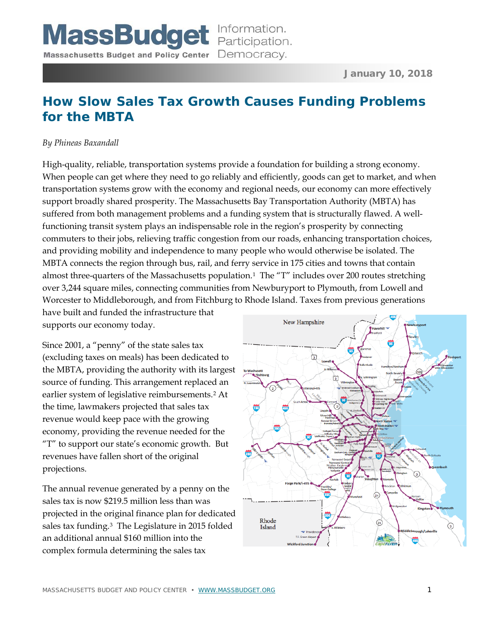# **How Slow Sales Tax Growth Causes Funding Problems for the MBTA**

#### *By Phineas Baxandall*

High-quality, reliable, transportation systems provide a foundation for building a strong economy. When people can get where they need to go reliably and efficiently, goods can get to market, and when transportation systems grow with the economy and regional needs, our economy can more effectively support broadly shared prosperity. The Massachusetts Bay Transportation Authority (MBTA) has suffered from both management problems and a funding system that is structurally flawed. A wellfunctioning transit system plays an indispensable role in the region's prosperity by connecting commuters to their jobs, relieving traffic congestion from our roads, enhancing transportation choices, and providing mobility and independence to many people who would otherwise be isolated. The MBTA connects the region through bus, rail, and ferry service in 175 cities and towns that contain almost three-quarters of the Massachusetts population.[1](#page-9-0) The "T" includes over 200 routes stretching over 3,244 square miles, connecting communities from Newburyport to Plymouth, from Lowell and Worcester to Middleborough, and from Fitchburg to Rhode Island. Taxes from previous generations

have built and funded the infrastructure that supports our economy today.

Since 2001, a "penny" of the state sales tax (excluding taxes on meals) has been dedicated to the MBTA, providing the authority with its largest source of funding. This arrangement replaced an earlier system of legislative reimbursements.[2](#page-9-1) At the time, lawmakers projected that sales tax revenue would keep pace with the growing economy, providing the revenue needed for the "T" to support our state's economic growth. But revenues have fallen short of the original projections.

The annual revenue generated by a penny on the sales tax is now \$219.5 million less than was projected in the original finance plan for dedicated sales tax funding.[3](#page-9-2) The Legislature in 2015 folded an additional annual \$160 million into the complex formula determining the sales tax

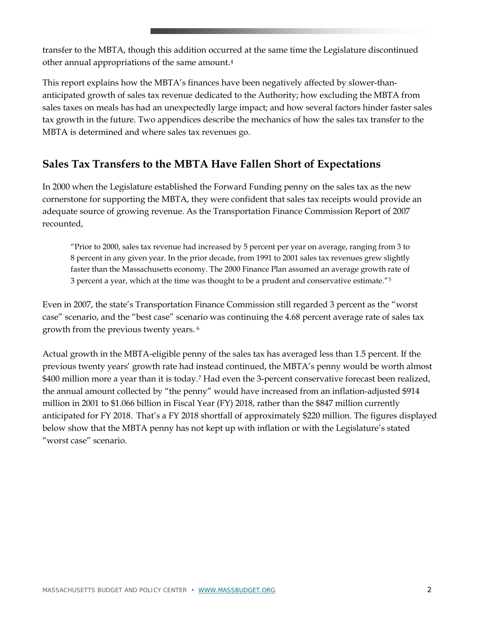transfer to the MBTA, though this addition occurred at the same time the Legislature discontinued other annual appropriations of the same amount.[4](#page-10-0)

This report explains how the MBTA's finances have been negatively affected by slower-thananticipated growth of sales tax revenue dedicated to the Authority; how excluding the MBTA from sales taxes on meals has had an unexpectedly large impact; and how several factors hinder faster sales tax growth in the future. Two appendices describe the mechanics of how the sales tax transfer to the MBTA is determined and where sales tax revenues go.

## **Sales Tax Transfers to the MBTA Have Fallen Short of Expectations**

In 2000 when the Legislature established the Forward Funding penny on the sales tax as the new cornerstone for supporting the MBTA, they were confident that sales tax receipts would provide an adequate source of growing revenue. As the Transportation Finance Commission Report of 2007 recounted,

"Prior to 2000, sales tax revenue had increased by 5 percent per year on average, ranging from 3 to 8 percent in any given year. In the prior decade, from 1991 to 2001 sales tax revenues grew slightly faster than the Massachusetts economy. The 2000 Finance Plan assumed an average growth rate of 3 percent a year, which at the time was thought to be a prudent and conservative estimate."<sup>[5](#page-10-1)</sup>

Even in 2007, the state's Transportation Finance Commission still regarded 3 percent as the "worst case" scenario, and the "best case" scenario was continuing the 4.68 percent average rate of sales tax growth from the previous twenty years. [6](#page-10-2)

Actual growth in the MBTA-eligible penny of the sales tax has averaged less than 1.5 percent. If the previous twenty years' growth rate had instead continued, the MBTA's penny would be worth almost \$400 million more a year than it is today.<sup>[7](#page-10-3)</sup> Had even the 3-percent conservative forecast been realized, the annual amount collected by "the penny" would have increased from an inflation-adjusted \$914 million in 2001 to \$1.066 billion in Fiscal Year (FY) 2018, rather than the \$847 million currently anticipated for FY 2018. That's a FY 2018 shortfall of approximately \$220 million. The figures displayed below show that the MBTA penny has not kept up with inflation or with the Legislature's stated "worst case" scenario.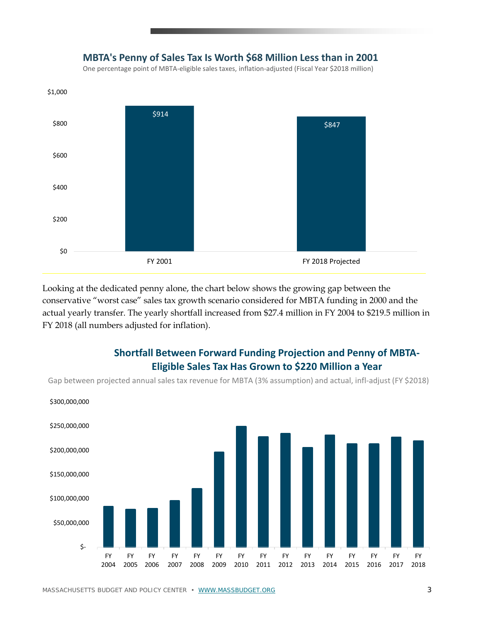

**MBTA's Penny of Sales Tax Is Worth \$68 Million Less than in 2001**

Looking at the dedicated penny alone, the chart below shows the growing gap between the conservative "worst case" sales tax growth scenario considered for MBTA funding in 2000 and the actual yearly transfer. The yearly shortfall increased from \$27.4 million in FY 2004 to \$219.5 million in FY 2018 (all numbers adjusted for inflation).

### **Shortfall Between Forward Funding Projection and Penny of MBTA-Eligible Sales Tax Has Grown to \$220 Million a Year**

Gap between projected annual sales tax revenue for MBTA (3% assumption) and actual, infl-adjust (FY \$2018)



MASSACHUSETTS BUDGET AND POLICY CENTER • [WWW.MASSBUDGET.ORG](http://www.massbudget.org/) 3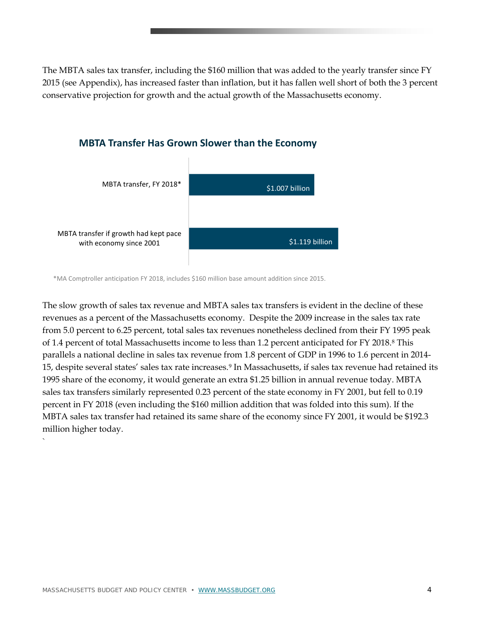The MBTA sales tax transfer, including the \$160 million that was added to the yearly transfer since FY 2015 (see Appendix), has increased faster than inflation, but it has fallen well short of both the 3 percent conservative projection for growth and the actual growth of the Massachusetts economy.



#### **MBTA Transfer Has Grown Slower than the Economy**

\*MA Comptroller anticipation FY 2018, includes \$160 million base amount addition since 2015.

The slow growth of sales tax revenue and MBTA sales tax transfers is evident in the decline of these revenues as a percent of the Massachusetts economy. Despite the 2009 increase in the sales tax rate from 5.0 percent to 6.25 percent, total sales tax revenues nonetheless declined from their FY 1995 peak of 1.4 percent of total Massachusetts income to less than 1.2 percent anticipated for FY 2018.[8](#page-10-4) This parallels a national decline in sales tax revenue from 1.8 percent of GDP in 1996 to 1.6 percent in 2014- 15, despite several states' sales tax rate increases[.9](#page-10-5) In Massachusetts, if sales tax revenue had retained its 1995 share of the economy, it would generate an extra \$1.25 billion in annual revenue today. MBTA sales tax transfers similarly represented 0.23 percent of the state economy in FY 2001, but fell to 0.19 percent in FY 2018 (even including the \$160 million addition that was folded into this sum). If the MBTA sales tax transfer had retained its same share of the economy since FY 2001, it would be \$192.3 million higher today.

`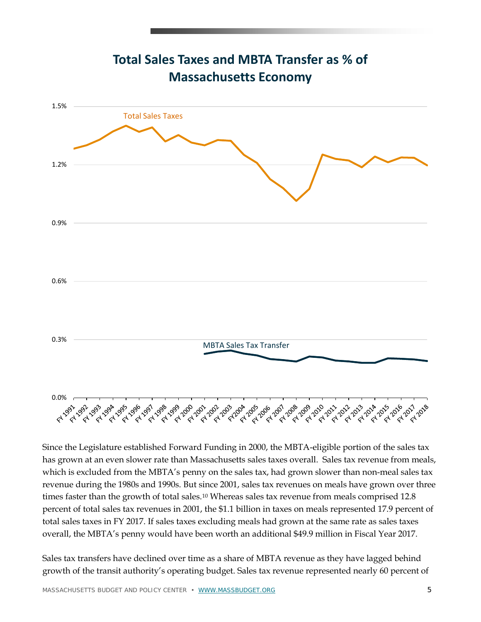

**Total Sales Taxes and MBTA Transfer as % of Massachusetts Economy**

Since the Legislature established Forward Funding in 2000, the MBTA-eligible portion of the sales tax has grown at an even slower rate than Massachusetts sales taxes overall. Sales tax revenue from meals, which is excluded from the MBTA's penny on the sales tax, had grown slower than non-meal sales tax revenue during the 1980s and 1990s. But since 2001, sales tax revenues on meals have grown over three times faster than the growth of total sales.<sup>[10](#page-10-6)</sup> Whereas sales tax revenue from meals comprised 12.8 percent of total sales tax revenues in 2001, the \$1.1 billion in taxes on meals represented 17.9 percent of total sales taxes in FY 2017. If sales taxes excluding meals had grown at the same rate as sales taxes overall, the MBTA's penny would have been worth an additional \$49.9 million in Fiscal Year 2017.

Sales tax transfers have declined over time as a share of MBTA revenue as they have lagged behind growth of the transit authority's operating budget. Sales tax revenue represented nearly 60 percent of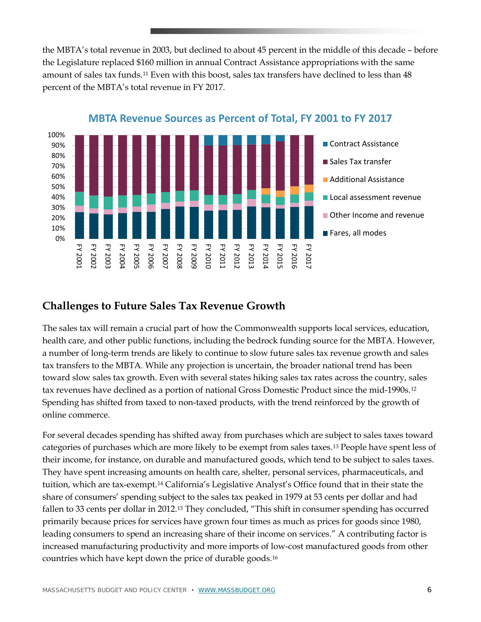the MBTA's total revenue in 2003, but declined to about 45 percent in the middle of this decade – before the Legislature replaced \$160 million in annual Contract Assistance appropriations with the same amount of sales tax funds.[11](#page-10-7) Even with this boost, sales tax transfers have declined to less than 48 percent of the MBTA's total revenue in FY 2017.



## **Challenges to Future Sales Tax Revenue Growth**

The sales tax will remain a crucial part of how the Commonwealth supports local services, education, health care, and other public functions, including the bedrock funding source for the MBTA. However, a number of long-term trends are likely to continue to slow future sales tax revenue growth and sales tax transfers to the MBTA. While any projection is uncertain, the broader national trend has been toward slow sales tax growth. Even with several states hiking sales tax rates across the country, sales tax revenues have declined as a portion of national Gross Domestic Product since the mid-1990s.[12](#page-10-8) Spending has shifted from taxed to non-taxed products, with the trend reinforced by the growth of online commerce.

For several decades spending has shifted away from purchases which are subject to sales taxes toward categories of purchases which are more likely to be exempt from sales taxes.[13](#page-10-9) People have spent less of their income, for instance, on durable and manufactured goods, which tend to be subject to sales taxes. They have spent increasing amounts on health care, shelter, personal services, pharmaceuticals, and tuition, which are tax-exempt.[14](#page-10-10) California's Legislative Analyst's Office found that in their state the share of consumers' spending subject to the sales tax peaked in 1979 at 53 cents per dollar and had fallen to 33 cents per dollar in 2012.<sup>[15](#page-10-11)</sup> They concluded, "This shift in consumer spending has occurred primarily because prices for services have grown four times as much as prices for goods since 1980, leading consumers to spend an increasing share of their income on services." A contributing factor is increased manufacturing productivity and more imports of low-cost manufactured goods from other countries which have kept down the price of durable goods.[16](#page-10-12)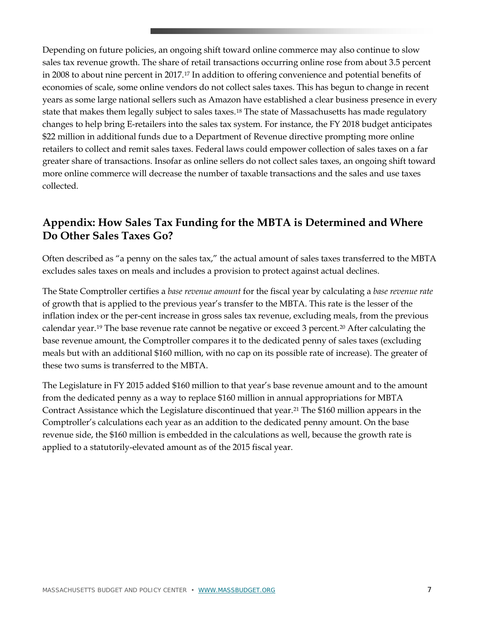Depending on future policies, an ongoing shift toward online commerce may also continue to slow sales tax revenue growth. The share of retail transactions occurring online rose from about 3.5 percent in 2008 to about nine percent in 2017.[17](#page-10-13) In addition to offering convenience and potential benefits of economies of scale, some online vendors do not collect sales taxes. This has begun to change in recent years as some large national sellers such as Amazon have established a clear business presence in every state that makes them legally subject to sales taxes.<sup>[18](#page-10-14)</sup> The state of Massachusetts has made regulatory changes to help bring E-retailers into the sales tax system. For instance, the FY 2018 budget anticipates \$22 million in additional funds due to a Department of Revenue directive prompting more online retailers to collect and remit sales taxes. Federal laws could empower collection of sales taxes on a far greater share of transactions. Insofar as online sellers do not collect sales taxes, an ongoing shift toward more online commerce will decrease the number of taxable transactions and the sales and use taxes collected.

## **Appendix: How Sales Tax Funding for the MBTA is Determined and Where Do Other Sales Taxes Go?**

Often described as "a penny on the sales tax," the actual amount of sales taxes transferred to the MBTA excludes sales taxes on meals and includes a provision to protect against actual declines.

The State Comptroller certifies a *base revenue amount* for the fiscal year by calculating a *base revenue rate* of growth that is applied to the previous year's transfer to the MBTA. This rate is the lesser of the inflation index or the per-cent increase in gross sales tax revenue, excluding meals, from the previous calendar year.[19](#page-10-15) The base revenue rate cannot be negative or exceed 3 percent.[20](#page-10-16) After calculating the base revenue amount, the Comptroller compares it to the dedicated penny of sales taxes (excluding meals but with an additional \$160 million, with no cap on its possible rate of increase). The greater of these two sums is transferred to the MBTA.

The Legislature in FY 2015 added \$160 million to that year's base revenue amount and to the amount from the dedicated penny as a way to replace \$160 million in annual appropriations for MBTA Contract Assistance which the Legislature discontinued that year.[21](#page-10-17) The \$160 million appears in the Comptroller's calculations each year as an addition to the dedicated penny amount. On the base revenue side, the \$160 million is embedded in the calculations as well, because the growth rate is applied to a statutorily-elevated amount as of the 2015 fiscal year.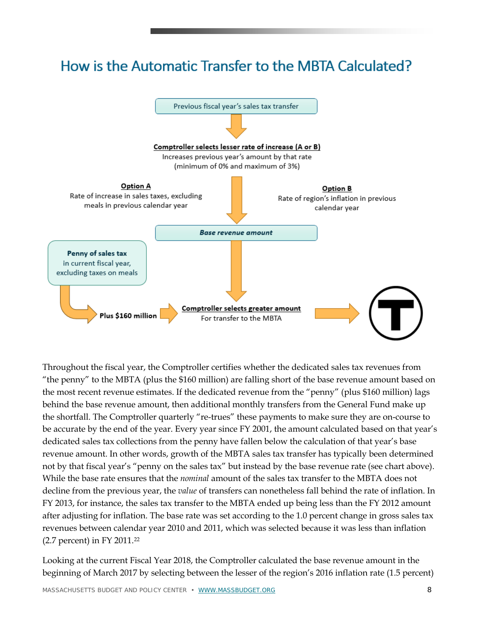# How is the Automatic Transfer to the MBTA Calculated?



Throughout the fiscal year, the Comptroller certifies whether the dedicated sales tax revenues from "the penny" to the MBTA (plus the \$160 million) are falling short of the base revenue amount based on the most recent revenue estimates. If the dedicated revenue from the "penny" (plus \$160 million) lags behind the base revenue amount, then additional monthly transfers from the General Fund make up the shortfall. The Comptroller quarterly "re-trues" these payments to make sure they are on-course to be accurate by the end of the year. Every year since FY 2001, the amount calculated based on that year's dedicated sales tax collections from the penny have fallen below the calculation of that year's base revenue amount. In other words, growth of the MBTA sales tax transfer has typically been determined not by that fiscal year's "penny on the sales tax" but instead by the base revenue rate (see chart above). While the base rate ensures that the *nominal* amount of the sales tax transfer to the MBTA does not decline from the previous year, the *value* of transfers can nonetheless fall behind the rate of inflation. In FY 2013, for instance, the sales tax transfer to the MBTA ended up being less than the FY 2012 amount after adjusting for inflation. The base rate was set according to the 1.0 percent change in gross sales tax revenues between calendar year 2010 and 2011, which was selected because it was less than inflation (2.7 percent) in FY 2011.[22](#page-10-18)

Looking at the current Fiscal Year 2018, the Comptroller calculated the base revenue amount in the beginning of March 2017 by selecting between the lesser of the region's 2016 inflation rate (1.5 percent)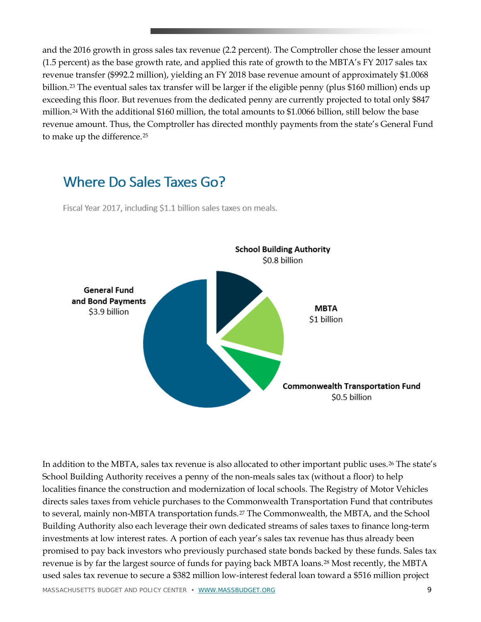and the 2016 growth in gross sales tax revenue (2.2 percent). The Comptroller chose the lesser amount (1.5 percent) as the base growth rate, and applied this rate of growth to the MBTA's FY 2017 sales tax revenue transfer (\$992.2 million), yielding an FY 2018 base revenue amount of approximately \$1.0068 billion.[23](#page-10-1) The eventual sales tax transfer will be larger if the eligible penny (plus \$160 million) ends up exceeding this floor. But revenues from the dedicated penny are currently projected to total only \$847 million.[24](#page-10-19) With the additional \$160 million, the total amounts to \$1.0066 billion, still below the base revenue amount. Thus, the Comptroller has directed monthly payments from the state's General Fund to make up the difference.[25](#page-10-20)

## Where Do Sales Taxes Go?

Fiscal Year 2017, including \$1.1 billion sales taxes on meals.



In addition to the MBTA, sales tax revenue is also allocated to other important public uses.[26](#page-10-21) The state's School Building Authority receives a penny of the non-meals sales tax (without a floor) to help localities finance the construction and modernization of local schools. The Registry of Motor Vehicles directs sales taxes from vehicle purchases to the Commonwealth Transportation Fund that contributes to several, mainly non-MBTA transportation funds.[27](#page-10-22) The Commonwealth, the MBTA, and the School Building Authority also each leverage their own dedicated streams of sales taxes to finance long-term investments at low interest rates. A portion of each year's sales tax revenue has thus already been promised to pay back investors who previously purchased state bonds backed by these funds. Sales tax revenue is by far the largest source of funds for paying back MBTA loans.[28](#page-10-23) Most recently, the MBTA used sales tax revenue to secure a \$382 million low-interest federal loan toward a \$516 million project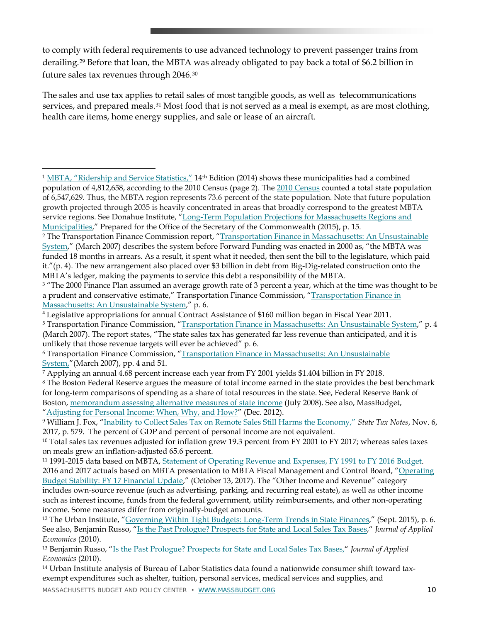to comply with federal requirements to use advanced technology to prevent passenger trains from derailing.[29](#page-10-5) Before that loan, the MBTA was already obligated to pay back a total of \$6.2 billion in future sales tax revenues through 2046.[30](#page-10-6)

The sales and use tax applies to retail sales of most tangible goods, as well as telecommunications services, and prepared meals.<sup>[31](#page-10-7)</sup> Most food that is not served as a meal is exempt, as are most clothing, health care items, home energy supplies, and sale or lease of an aircraft.

 $\overline{a}$ 

<span id="page-9-0"></span><sup>1</sup> [MBTA, "Ridership and Service Statistics,"](https://www.mbta.com/uploadedfiles/documents/2014%20BLUEBOOK%2014th%20Edition(1).pdf) 14th Edition (2014) shows these municipalities had a combined population of 4,812,658, according to the 2010 Census (page 2). Th[e 2010 Census](https://www.census.gov/quickfacts/fact/table/MA/POP010210#viewtop) counted a total state population of 6,547,629. Thus, the MBTA region represents 73.6 percent of the state population. Note that future population growth projected through 2035 is heavily concentrated in areas that broadly correspond to the greatest MBTA service regions. See Donahue Institute, ["Long-Term Population Projections for Massachusetts Regions and](http://pep.donahue-institute.org/downloads/2015/new/UMDI_LongTermPopulationProjectionsReport_2015%2004%20_29.pdf)  [Municipalities,"](http://pep.donahue-institute.org/downloads/2015/new/UMDI_LongTermPopulationProjectionsReport_2015%2004%20_29.pdf) Prepared for the Office of the Secretary of the Commonwealth (2015), p. 15.

<span id="page-9-1"></span><sup>&</sup>lt;sup>2</sup> The Transportation Finance Commission report, "Transportation Finance in Massachusetts: An Unsustainable [System,](http://old.mbta.com/uploadedfiles/About_the_T/Panel/TFCReport.pdf)" (March 2007) describes the system before Forward Funding was enacted in 2000 as, "the MBTA was funded 18 months in arrears. As a result, it spent what it needed, then sent the bill to the legislature, which paid it."(p. 4). The new arrangement also placed over \$3 billion in debt from Big-Dig-related construction onto the MBTA's ledger, making the payments to service this debt a responsibility of the MBTA.

<span id="page-9-2"></span><sup>&</sup>lt;sup>3</sup> "The 2000 Finance Plan assumed an average growth rate of 3 percent a year, which at the time was thought to be a prudent and conservative estimate," Transportation Finance Commission, ["Transportation Finance in](http://old.mbta.com/uploadedfiles/About_the_T/Panel/TFCReport.pdf)  [Massachusetts: An Unsustainable System,](http://old.mbta.com/uploadedfiles/About_the_T/Panel/TFCReport.pdf)" p. 6.

<sup>4</sup> Legislative appropriations for annual Contract Assistance of \$160 million began in Fiscal Year 2011.

<sup>5</sup> Transportation Finance Commission, ["Transportation Finance in Massachusetts: An Unsustainable System,](http://old.mbta.com/uploadedfiles/About_the_T/Panel/TFCReport.pdf)" p. 4 (March 2007). The report states, "The state sales tax has generated far less revenue than anticipated, and it is unlikely that those revenue targets will ever be achieved" p. 6.

<sup>6</sup> Transportation Finance Commission, ["Transportation Finance in Massachusetts: An Unsustainable](http://old.mbta.com/uploadedfiles/About_the_T/Panel/TFCReport.pdf)  [System,"](http://old.mbta.com/uploadedfiles/About_the_T/Panel/TFCReport.pdf)(March 2007), pp. 4 and 51.

<sup>7</sup> Applying an annual 4.68 percent increase each year from FY 2001 yields \$1.404 billion in FY 2018.

<sup>8</sup> The Boston Federal Reserve argues the measure of total income earned in the state provides the best benchmark for long-term comparisons of spending as a share of total resources in the state. See, Federal Reserve Bank of Boston, [memorandum assessing alternative measures of state income](http://www.bos.frb.org/economic/neppc/memos/2008/weinerpopov073008.pdf) (July 2008). See also, MassBudget, ["Adjusting for Personal Income: When, Why, and How?"](http://massbudget.org/report_window.php?loc=personal_income_adjustment.html) (Dec. 2012).

<sup>9</sup> William J. Fox, ["Inability to Collect Sales Tax on Remote Sales Still Harms the Economy,"](https://s3.amazonaws.com/pdfs.taxnotes.com/2017/86st0575.pdf) *State Tax Notes*, Nov. 6, 2017, p. 579. The percent of GDP and percent of personal income are not equivalent.

<sup>&</sup>lt;sup>10</sup> Total sales tax revenues adjusted for inflation grew 19.3 percent from FY 2001 to FY 2017; whereas sales taxes on meals grew an inflation-adjusted 65.6 percent.

<sup>11</sup> 1991-2015 data based on MBTA, [Statement of Operating Revenue and Expenses, FY 1991 to FY 2016 Budget.](http://www.mbta.com/uploadedfiles/About_the_T/Financials/SORE%20History%20FY16%20Budget.xls) 2016 and 2017 actuals based on MBTA presentation to MBTA Fiscal Management and Control Board, ["Operating](https://d3044s2alrsxog.cloudfront.net/sites/default/files/fmcb-meeting-docs/2017/september/2017-09-11-fmcb-operating-budget-stability-fy17-financial-update.pdf)  [Budget Stability: FY 17 Financial Update,](https://d3044s2alrsxog.cloudfront.net/sites/default/files/fmcb-meeting-docs/2017/september/2017-09-11-fmcb-operating-budget-stability-fy17-financial-update.pdf)" (October 13, 2017). The "Other Income and Revenue" category includes own-source revenue (such as advertising, parking, and recurring real estate), as well as other income such as interest income, funds from the federal government, utility reimbursements, and other non-operating income. Some measures differ from originally-budget amounts.

<sup>12</sup> The Urban Institute, ["Governing Within Tight Budgets: Long-Term Trends in State Finances,](https://www.urban.org/sites/default/files/publication/66046/2000376-Long-Term-Trends-in-State-Finances.pdf)" (Sept. 2015), p. 6. See also, Benjamin Russo, ["Is the Past Prologue? Prospects for State and Local Sales Tax Bases,"](https://belkcollegeofbusiness.uncc.edu/brusso/wp-content/uploads/sites/876/2014/10/Is-Past-Prologue.pdf) *Journal of Applied Economics* (2010).

<sup>13</sup> Benjamin Russo, ["Is the Past Prologue? Prospects for State and Local Sales Tax Bases,"](https://belkcollegeofbusiness.uncc.edu/brusso/wp-content/uploads/sites/876/2014/10/Is-Past-Prologue.pdf) *Journal of Applied Economics* (2010).

<sup>14</sup> Urban Institute analysis of Bureau of Labor Statistics data found a nationwide consumer shift toward taxexempt expenditures such as shelter, tuition, personal services, medical services and supplies, and